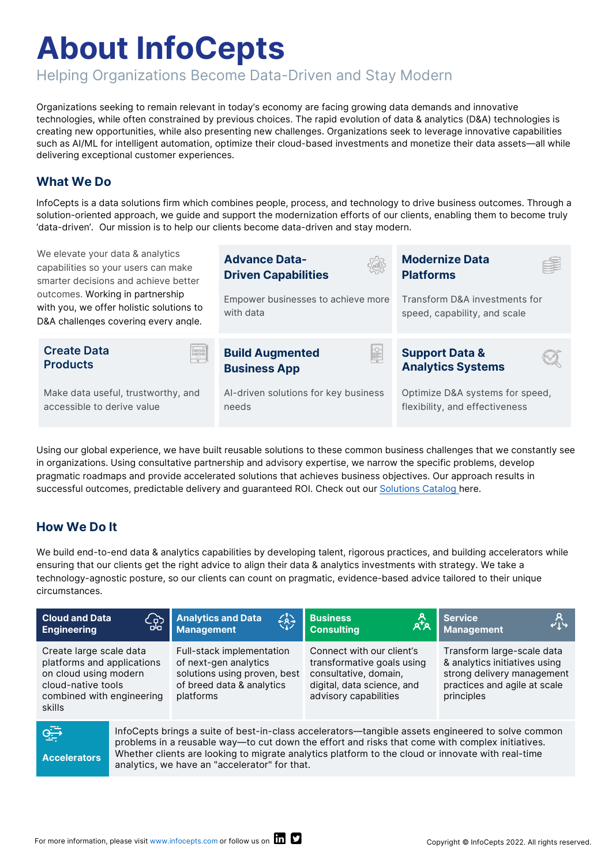# **About InfoCepts**

Helping Organizations Become Data-Driven and Stay Modern

needs

Organizations seeking to remain relevant in today's economy are facing growing data demands and innovative technologies, while often constrained by previous choices. The rapid evolution of data & analytics (D&A) technologies is creating new opportunities, while also presenting new challenges. Organizations seek to leverage innovative capabilities such as AI/ML for intelligent automation, optimize their cloud-based investments and monetize their data assets—all while delivering exceptional customer experiences.

### **What We Do**

InfoCepts is a data solutions firm which combines people, process, and technology to drive business outcomes. Through a solution-oriented approach, we guide and support the modernization efforts of our clients, enabling them to become truly 'data-driven'.Our mission is to help our clients become data-driven and stay modern.

We elevate your data & analytics capabilities so your users can make smarter decisions and achieve better outcomes. Working in partnership with you, we offer holistic solutions to D&A challenges covering every angle.



Using our global experience, we have built reusable solutions to these common business challenges that we constantly see in organizations. Using consultative partnership and advisory expertise, we narrow the specific problems, develop pragmatic roadmaps and provide accelerated solutions that achieves business objectives. Our approach results in successful outcomes, predictable delivery and guaranteed ROI. Check out our [Solutions Catalog](https://www.infocepts.com/solutions/) here.

## **How We Do It**

We build end-to-end data & analytics capabilities by developing talent, rigorous practices, and building accelerators while ensuring that our clients get the right advice to align their data & analytics investments with strategy. We take a technology-agnostic posture, so our clients can count on pragmatic, evidence-based advice tailored to their unique circumstances.

| <b>Cloud and Data</b><br><b>Engineering</b>                                                                                                 | 얇                                                                                                                                                                                                                                                                                                                                                          | <b>Analytics and Data</b><br><b>Management</b>                                                                               | ڿڲ۪ٛ | <b>Business</b><br><b>Consulting</b>                                                                                                    | Service<br>Management<br>414                                                                                                            |
|---------------------------------------------------------------------------------------------------------------------------------------------|------------------------------------------------------------------------------------------------------------------------------------------------------------------------------------------------------------------------------------------------------------------------------------------------------------------------------------------------------------|------------------------------------------------------------------------------------------------------------------------------|------|-----------------------------------------------------------------------------------------------------------------------------------------|-----------------------------------------------------------------------------------------------------------------------------------------|
| Create large scale data<br>platforms and applications<br>on cloud using modern<br>cloud-native tools<br>combined with engineering<br>skills |                                                                                                                                                                                                                                                                                                                                                            | Full-stack implementation<br>of next-gen analytics<br>solutions using proven, best<br>of breed data & analytics<br>platforms |      | Connect with our client's<br>transformative goals using<br>consultative, domain,<br>digital, data science, and<br>advisory capabilities | Transform large-scale data<br>& analytics initiatives using<br>strong delivery management<br>practices and agile at scale<br>principles |
| اجتوا<br><b>Accelerators</b>                                                                                                                | InfoCepts brings a suite of best-in-class accelerators—tangible assets engineered to solve common<br>problems in a reusable way—to cut down the effort and risks that come with complex initiatives.<br>Whether clients are looking to migrate analytics platform to the cloud or innovate with real-time<br>analytics, we have an "accelerator" for that. |                                                                                                                              |      |                                                                                                                                         |                                                                                                                                         |